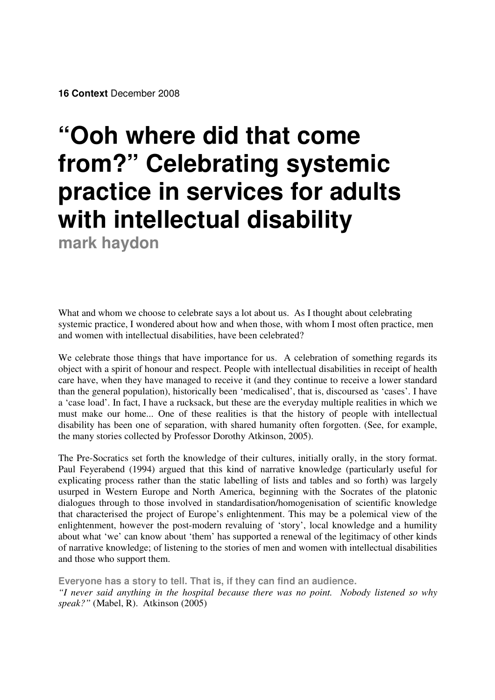# **"Ooh where did that come from?" Celebrating systemic practice in services for adults with intellectual disability mark haydon**

What and whom we choose to celebrate says a lot about us. As I thought about celebrating systemic practice, I wondered about how and when those, with whom I most often practice, men and women with intellectual disabilities, have been celebrated?

We celebrate those things that have importance for us. A celebration of something regards its object with a spirit of honour and respect. People with intellectual disabilities in receipt of health care have, when they have managed to receive it (and they continue to receive a lower standard than the general population), historically been 'medicalised', that is, discoursed as 'cases'. I have a 'case load'. In fact, I have a rucksack, but these are the everyday multiple realities in which we must make our home... One of these realities is that the history of people with intellectual disability has been one of separation, with shared humanity often forgotten. (See, for example, the many stories collected by Professor Dorothy Atkinson, 2005).

The Pre-Socratics set forth the knowledge of their cultures, initially orally, in the story format. Paul Feyerabend (1994) argued that this kind of narrative knowledge (particularly useful for explicating process rather than the static labelling of lists and tables and so forth) was largely usurped in Western Europe and North America, beginning with the Socrates of the platonic dialogues through to those involved in standardisation/homogenisation of scientific knowledge that characterised the project of Europe's enlightenment. This may be a polemical view of the enlightenment, however the post-modern revaluing of 'story', local knowledge and a humility about what 'we' can know about 'them' has supported a renewal of the legitimacy of other kinds of narrative knowledge; of listening to the stories of men and women with intellectual disabilities and those who support them.

**Everyone has a story to tell. That is, if they can find an audience.** *"I never said anything in the hospital because there was no point. Nobody listened so why speak?"* (Mabel, R). Atkinson (2005)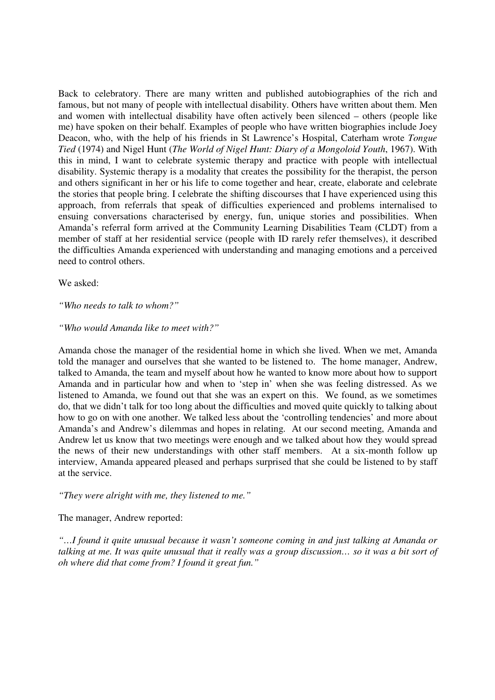Back to celebratory. There are many written and published autobiographies of the rich and famous, but not many of people with intellectual disability. Others have written about them. Men and women with intellectual disability have often actively been silenced – others (people like me) have spoken on their behalf. Examples of people who have written biographies include Joey Deacon, who, with the help of his friends in St Lawrence's Hospital, Caterham wrote *Tongue Tied* (1974) and Nigel Hunt (*The World of Nigel Hunt: Diary of a Mongoloid Youth*, 1967). With this in mind, I want to celebrate systemic therapy and practice with people with intellectual disability. Systemic therapy is a modality that creates the possibility for the therapist, the person and others significant in her or his life to come together and hear, create, elaborate and celebrate the stories that people bring. I celebrate the shifting discourses that I have experienced using this approach, from referrals that speak of difficulties experienced and problems internalised to ensuing conversations characterised by energy, fun, unique stories and possibilities. When Amanda's referral form arrived at the Community Learning Disabilities Team (CLDT) from a member of staff at her residential service (people with ID rarely refer themselves), it described the difficulties Amanda experienced with understanding and managing emotions and a perceived need to control others.

We asked:

### *"Who needs to talk to whom?"*

#### *"Who would Amanda like to meet with?"*

Amanda chose the manager of the residential home in which she lived. When we met, Amanda told the manager and ourselves that she wanted to be listened to. The home manager, Andrew, talked to Amanda, the team and myself about how he wanted to know more about how to support Amanda and in particular how and when to 'step in' when she was feeling distressed. As we listened to Amanda, we found out that she was an expert on this. We found, as we sometimes do, that we didn't talk for too long about the difficulties and moved quite quickly to talking about how to go on with one another. We talked less about the 'controlling tendencies' and more about Amanda's and Andrew's dilemmas and hopes in relating. At our second meeting, Amanda and Andrew let us know that two meetings were enough and we talked about how they would spread the news of their new understandings with other staff members. At a six-month follow up interview, Amanda appeared pleased and perhaps surprised that she could be listened to by staff at the service.

*"They were alright with me, they listened to me."*

## The manager, Andrew reported:

*"…I found it quite unusual because it wasn't someone coming in and just talking at Amanda or* talking at me. It was quite unusual that it really was a group discussion... so it was a bit sort of *oh where did that come from? I found it great fun."*